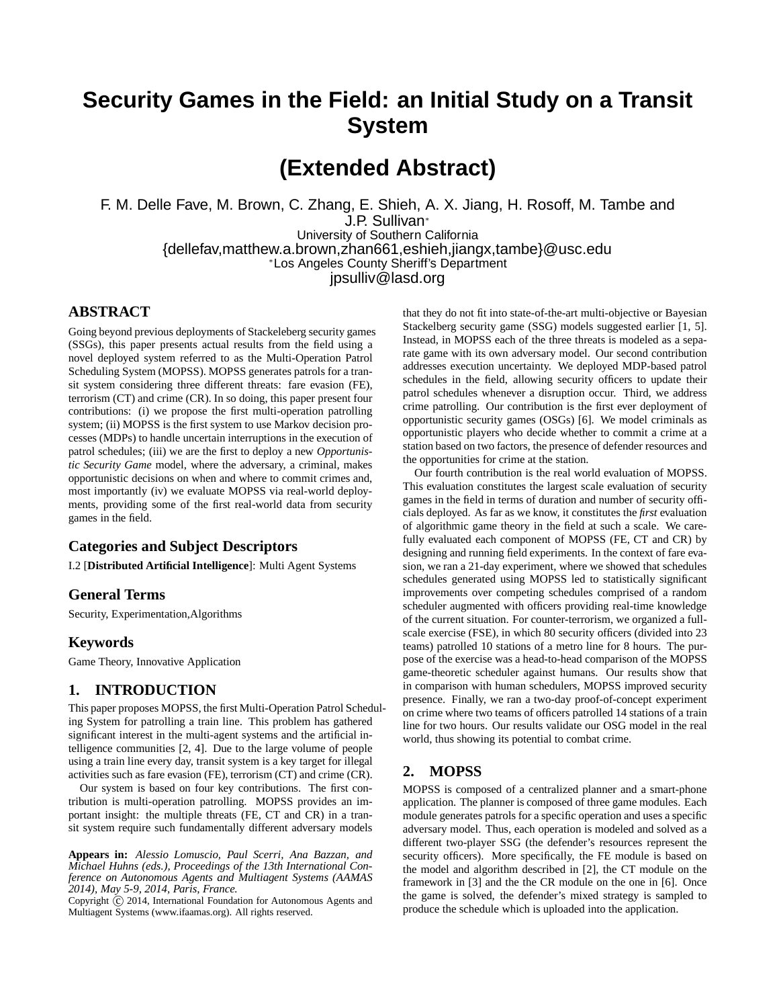# **Security Games in the Field: an Initial Study on a Transit System**

**(Extended Abstract)**

F. M. Delle Fave, M. Brown, C. Zhang, E. Shieh, A. X. Jiang, H. Rosoff, M. Tambe and J.P. Sullivan<sup>∗</sup> University of Southern California {dellefav,matthew.a.brown,zhan661,eshieh,jiangx,tambe}@usc.edu <sup>∗</sup>Los Angeles County Sheriff's Department jpsulliv@lasd.org

### **ABSTRACT**

Going beyond previous deployments of Stackeleberg security games (SSGs), this paper presents actual results from the field using a novel deployed system referred to as the Multi-Operation Patrol Scheduling System (MOPSS). MOPSS generates patrols for a transit system considering three different threats: fare evasion (FE), terrorism (CT) and crime (CR). In so doing, this paper present four contributions: (i) we propose the first multi-operation patrolling system; (ii) MOPSS is the first system to use Markov decision processes (MDPs) to handle uncertain interruptions in the execution of patrol schedules; (iii) we are the first to deploy a new *Opportunistic Security Game* model, where the adversary, a criminal, makes opportunistic decisions on when and where to commit crimes and, most importantly (iv) we evaluate MOPSS via real-world deployments, providing some of the first real-world data from security games in the field.

### **Categories and Subject Descriptors**

I.2 [**Distributed Artificial Intelligence**]: Multi Agent Systems

#### **General Terms**

Security, Experimentation,Algorithms

### **Keywords**

Game Theory, Innovative Application

#### **1. INTRODUCTION**

This paper proposes MOPSS, the first Multi-Operation Patrol Scheduling System for patrolling a train line. This problem has gathered significant interest in the multi-agent systems and the artificial intelligence communities [2, 4]. Due to the large volume of people using a train line every day, transit system is a key target for illegal activities such as fare evasion (FE), terrorism (CT) and crime (CR).

Our system is based on four key contributions. The first contribution is multi-operation patrolling. MOPSS provides an important insight: the multiple threats (FE, CT and CR) in a transit system require such fundamentally different adversary models

**Appears in:** *Alessio Lomuscio, Paul Scerri, Ana Bazzan, and Michael Huhns (eds.), Proceedings of the 13th International Conference on Autonomous Agents and Multiagent Systems (AAMAS 2014), May 5-9, 2014, Paris, France.*

Copyright  $\overline{c}$  2014, International Foundation for Autonomous Agents and Multiagent Systems (www.ifaamas.org). All rights reserved.

that they do not fit into state-of-the-art multi-objective or Bayesian Stackelberg security game (SSG) models suggested earlier [1, 5]. Instead, in MOPSS each of the three threats is modeled as a separate game with its own adversary model. Our second contribution addresses execution uncertainty. We deployed MDP-based patrol schedules in the field, allowing security officers to update their patrol schedules whenever a disruption occur. Third, we address crime patrolling. Our contribution is the first ever deployment of opportunistic security games (OSGs) [6]. We model criminals as opportunistic players who decide whether to commit a crime at a station based on two factors, the presence of defender resources and the opportunities for crime at the station.

Our fourth contribution is the real world evaluation of MOPSS. This evaluation constitutes the largest scale evaluation of security games in the field in terms of duration and number of security officials deployed. As far as we know, it constitutes the *first* evaluation of algorithmic game theory in the field at such a scale. We carefully evaluated each component of MOPSS (FE, CT and CR) by designing and running field experiments. In the context of fare evasion, we ran a 21-day experiment, where we showed that schedules schedules generated using MOPSS led to statistically significant improvements over competing schedules comprised of a random scheduler augmented with officers providing real-time knowledge of the current situation. For counter-terrorism, we organized a fullscale exercise (FSE), in which 80 security officers (divided into 23 teams) patrolled 10 stations of a metro line for 8 hours. The purpose of the exercise was a head-to-head comparison of the MOPSS game-theoretic scheduler against humans. Our results show that in comparison with human schedulers, MOPSS improved security presence. Finally, we ran a two-day proof-of-concept experiment on crime where two teams of officers patrolled 14 stations of a train line for two hours. Our results validate our OSG model in the real world, thus showing its potential to combat crime.

### **2. MOPSS**

MOPSS is composed of a centralized planner and a smart-phone application. The planner is composed of three game modules. Each module generates patrols for a specific operation and uses a specific adversary model. Thus, each operation is modeled and solved as a different two-player SSG (the defender's resources represent the security officers). More specifically, the FE module is based on the model and algorithm described in [2], the CT module on the framework in [3] and the the CR module on the one in [6]. Once the game is solved, the defender's mixed strategy is sampled to produce the schedule which is uploaded into the application.